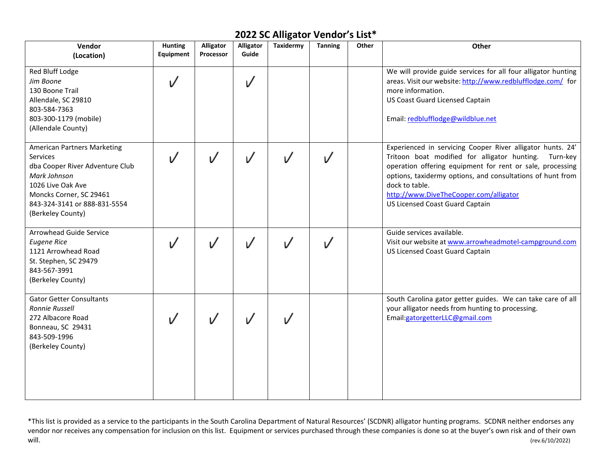| Vendor<br>(Location)                                                                                                                                                                                   | <b>Hunting</b><br>Equipment | Alligator<br>Processor | <b>Alligator</b><br>Guide | Taxidermy | <b>Tanning</b> | Other | Other                                                                                                                                                                                                                                                                                                                                            |
|--------------------------------------------------------------------------------------------------------------------------------------------------------------------------------------------------------|-----------------------------|------------------------|---------------------------|-----------|----------------|-------|--------------------------------------------------------------------------------------------------------------------------------------------------------------------------------------------------------------------------------------------------------------------------------------------------------------------------------------------------|
| Red Bluff Lodge<br>Jim Boone<br>130 Boone Trail<br>Allendale, SC 29810<br>803-584-7363<br>803-300-1179 (mobile)<br>(Allendale County)                                                                  |                             |                        | V                         |           |                |       | We will provide guide services for all four alligator hunting<br>areas. Visit our website: http://www.redblufflodge.com/ for<br>more information.<br><b>US Coast Guard Licensed Captain</b><br>Email: redblufflodge@wildblue.net                                                                                                                 |
| <b>American Partners Marketing</b><br>Services<br>dba Cooper River Adventure Club<br>Mark Johnson<br>1026 Live Oak Ave<br>Moncks Corner, SC 29461<br>843-324-3141 or 888-831-5554<br>(Berkeley County) | $\sqrt{ }$                  |                        | ı/                        | V         | $\sqrt{ }$     |       | Experienced in servicing Cooper River alligator hunts. 24'<br>Tritoon boat modified for alligator hunting.<br>Turn-key<br>operation offering equipment for rent or sale, processing<br>options, taxidermy options, and consultations of hunt from<br>dock to table.<br>http://www.DiveTheCooper.com/alligator<br>US Licensed Coast Guard Captain |
| Arrowhead Guide Service<br><b>Eugene Rice</b><br>1121 Arrowhead Road<br>St. Stephen, SC 29479<br>843-567-3991<br>(Berkeley County)                                                                     |                             |                        |                           | V         | V              |       | Guide services available.<br>Visit our website at www.arrowheadmotel-campground.com<br>US Licensed Coast Guard Captain                                                                                                                                                                                                                           |
| <b>Gator Getter Consultants</b><br>Ronnie Russell<br>272 Albacore Road<br>Bonneau, SC 29431<br>843-509-1996<br>(Berkeley County)                                                                       |                             |                        |                           |           |                |       | South Carolina gator getter guides. We can take care of all<br>your alligator needs from hunting to processing.<br>Email:gatorgetterLLC@gmail.com                                                                                                                                                                                                |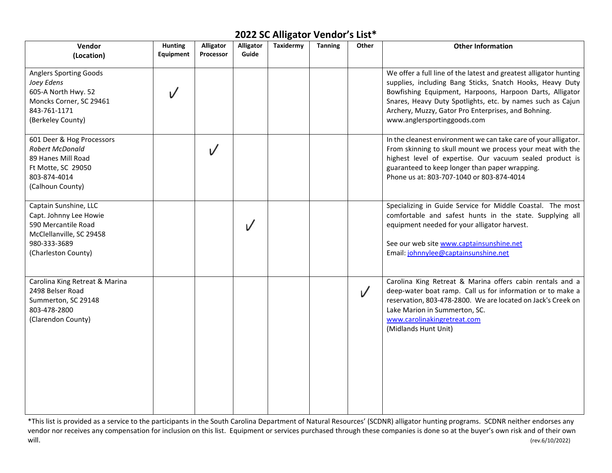| Vendor                                                                                                                                    | <b>Hunting</b><br>Equipment | Alligator<br>Processor | <b>Alligator</b><br>Guide | Taxidermy | <b>Tanning</b> | Other     | <b>Other Information</b>                                                                                                                                                                                                                                                                                                                       |
|-------------------------------------------------------------------------------------------------------------------------------------------|-----------------------------|------------------------|---------------------------|-----------|----------------|-----------|------------------------------------------------------------------------------------------------------------------------------------------------------------------------------------------------------------------------------------------------------------------------------------------------------------------------------------------------|
| (Location)                                                                                                                                |                             |                        |                           |           |                |           |                                                                                                                                                                                                                                                                                                                                                |
| <b>Anglers Sporting Goods</b><br>Joey Edens<br>605-A North Hwy. 52<br>Moncks Corner, SC 29461<br>843-761-1171<br>(Berkeley County)        |                             |                        |                           |           |                |           | We offer a full line of the latest and greatest alligator hunting<br>supplies, including Bang Sticks, Snatch Hooks, Heavy Duty<br>Bowfishing Equipment, Harpoons, Harpoon Darts, Alligator<br>Snares, Heavy Duty Spotlights, etc. by names such as Cajun<br>Archery, Muzzy, Gator Pro Enterprises, and Bohning.<br>www.anglersportinggoods.com |
| 601 Deer & Hog Processors<br><b>Robert McDonald</b><br>89 Hanes Mill Road<br>Ft Motte, SC 29050<br>803-874-4014<br>(Calhoun County)       |                             |                        |                           |           |                |           | In the cleanest environment we can take care of your alligator.<br>From skinning to skull mount we process your meat with the<br>highest level of expertise. Our vacuum sealed product is<br>guaranteed to keep longer than paper wrapping.<br>Phone us at: 803-707-1040 or 803-874-4014                                                       |
| Captain Sunshine, LLC<br>Capt. Johnny Lee Howie<br>590 Mercantile Road<br>McClellanville, SC 29458<br>980-333-3689<br>(Charleston County) |                             |                        |                           |           |                |           | Specializing in Guide Service for Middle Coastal. The most<br>comfortable and safest hunts in the state. Supplying all<br>equipment needed for your alligator harvest.<br>See our web site www.captainsunshine.net<br>Email: johnnylee@captainsunshine.net                                                                                     |
| Carolina King Retreat & Marina<br>2498 Belser Road<br>Summerton, SC 29148<br>803-478-2800<br>(Clarendon County)                           |                             |                        |                           |           |                | $\sqrt{}$ | Carolina King Retreat & Marina offers cabin rentals and a<br>deep-water boat ramp. Call us for information or to make a<br>reservation, 803-478-2800. We are located on Jack's Creek on<br>Lake Marion in Summerton, SC.<br>www.carolinakingretreat.com<br>(Midlands Hunt Unit)                                                                |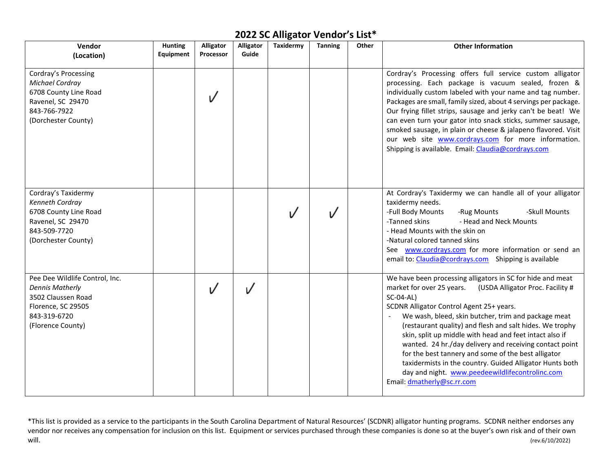| Vendor<br>(Location)                                                                                                                      | <b>Hunting</b><br>Equipment | <b>Alligator</b><br>Processor | Alligator<br>Guide | Taxidermy | <b>Tanning</b> | Other | <b>Other Information</b>                                                                                                                                                                                                                                                                                                                                                                                                                                                                                                                                                                                                          |
|-------------------------------------------------------------------------------------------------------------------------------------------|-----------------------------|-------------------------------|--------------------|-----------|----------------|-------|-----------------------------------------------------------------------------------------------------------------------------------------------------------------------------------------------------------------------------------------------------------------------------------------------------------------------------------------------------------------------------------------------------------------------------------------------------------------------------------------------------------------------------------------------------------------------------------------------------------------------------------|
| Cordray's Processing<br>Michael Cordray<br>6708 County Line Road<br>Ravenel, SC 29470<br>843-766-7922<br>(Dorchester County)              |                             |                               |                    |           |                |       | Cordray's Processing offers full service custom alligator<br>processing. Each package is vacuum sealed, frozen &<br>individually custom labeled with your name and tag number.<br>Packages are small, family sized, about 4 servings per package.<br>Our frying fillet strips, sausage and jerky can't be beat! We<br>can even turn your gator into snack sticks, summer sausage,<br>smoked sausage, in plain or cheese & jalapeno flavored. Visit<br>our web site www.cordrays.com for more information.<br>Shipping is available. Email: Claudia@cordrays.com                                                                   |
| Cordray's Taxidermy<br>Kenneth Cordray<br>6708 County Line Road<br>Ravenel, SC 29470<br>843-509-7720<br>(Dorchester County)               |                             |                               |                    |           |                |       | At Cordray's Taxidermy we can handle all of your alligator<br>taxidermy needs.<br>-Full Body Mounts<br>-Skull Mounts<br>-Rug Mounts<br>-Tanned skins<br>- Head and Neck Mounts<br>- Head Mounts with the skin on<br>-Natural colored tanned skins<br>See www.cordrays.com for more information or send an<br>email to: Claudia@cordrays.com Shipping is available                                                                                                                                                                                                                                                                 |
| Pee Dee Wildlife Control, Inc.<br><b>Dennis Matherly</b><br>3502 Claussen Road<br>Florence, SC 29505<br>843-319-6720<br>(Florence County) |                             |                               | V                  |           |                |       | We have been processing alligators in SC for hide and meat<br>market for over 25 years.<br>(USDA Alligator Proc. Facility #<br>SC-04-AL)<br>SCDNR Alligator Control Agent 25+ years.<br>We wash, bleed, skin butcher, trim and package meat<br>(restaurant quality) and flesh and salt hides. We trophy<br>skin, split up middle with head and feet intact also if<br>wanted. 24 hr./day delivery and receiving contact point<br>for the best tannery and some of the best alligator<br>taxidermists in the country. Guided Alligator Hunts both<br>day and night. www.peedeewildlifecontrolinc.com<br>Email: dmatherly@sc.rr.com |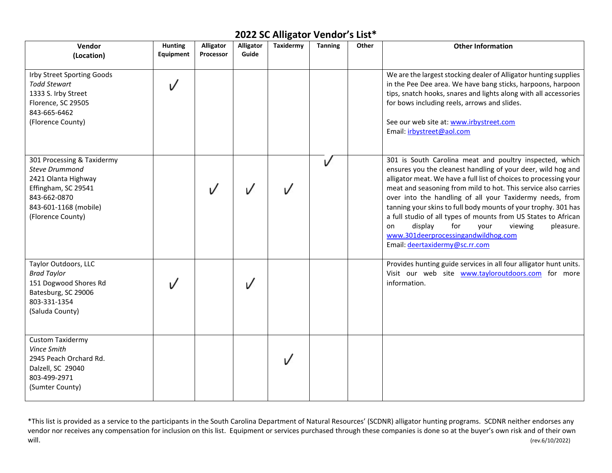| Vendor<br>(Location)                                                                                                                                            | <b>Hunting</b><br>Equipment | <b>Alligator</b><br>Processor | <b>Alligator</b><br>Guide | Taxidermy | <b>Tanning</b> | Other | <b>Other Information</b>                                                                                                                                                                                                                                                                                                                                                                                                                                                                                                                                                                        |
|-----------------------------------------------------------------------------------------------------------------------------------------------------------------|-----------------------------|-------------------------------|---------------------------|-----------|----------------|-------|-------------------------------------------------------------------------------------------------------------------------------------------------------------------------------------------------------------------------------------------------------------------------------------------------------------------------------------------------------------------------------------------------------------------------------------------------------------------------------------------------------------------------------------------------------------------------------------------------|
| Irby Street Sporting Goods<br><b>Todd Stewart</b><br>1333 S. Irby Street<br>Florence, SC 29505<br>843-665-6462<br>(Florence County)                             | ✓                           |                               |                           |           |                |       | We are the largest stocking dealer of Alligator hunting supplies<br>in the Pee Dee area. We have bang sticks, harpoons, harpoon<br>tips, snatch hooks, snares and lights along with all accessories<br>for bows including reels, arrows and slides.<br>See our web site at: www.irbystreet.com<br>Email: irbystreet@aol.com                                                                                                                                                                                                                                                                     |
| 301 Processing & Taxidermy<br><b>Steve Drummond</b><br>2421 Olanta Highway<br>Effingham, SC 29541<br>843-662-0870<br>843-601-1168 (mobile)<br>(Florence County) |                             |                               |                           |           | V              |       | 301 is South Carolina meat and poultry inspected, which<br>ensures you the cleanest handling of your deer, wild hog and<br>alligator meat. We have a full list of choices to processing your<br>meat and seasoning from mild to hot. This service also carries<br>over into the handling of all your Taxidermy needs, from<br>tanning your skins to full body mounts of your trophy. 301 has<br>a full studio of all types of mounts from US States to African<br>display<br>for<br>pleasure.<br>your<br>viewing<br>on<br>www.301deerprocessingandwildhog.com<br>Email: deertaxidermy@sc.rr.com |
| Taylor Outdoors, LLC<br><b>Brad Taylor</b><br>151 Dogwood Shores Rd<br>Batesburg, SC 29006<br>803-331-1354<br>(Saluda County)                                   |                             |                               |                           |           |                |       | Provides hunting guide services in all four alligator hunt units.<br>Visit our web site www.tayloroutdoors.com for more<br>information.                                                                                                                                                                                                                                                                                                                                                                                                                                                         |
| <b>Custom Taxidermy</b><br>Vince Smith<br>2945 Peach Orchard Rd.<br>Dalzell, SC 29040<br>803-499-2971<br>(Sumter County)                                        |                             |                               |                           |           |                |       |                                                                                                                                                                                                                                                                                                                                                                                                                                                                                                                                                                                                 |

<sup>\*</sup>This list is provided as a service to the participants in the South Carolina Department of Natural Resources' (SCDNR) alligator hunting programs. SCDNR neither endorses any vendor nor receives any compensation for inclusion on this list. Equipment or services purchased through these companies is done so at the buyer's own risk and of their own<br>(rev.6/10/2022) will. (rev.6/10/2022)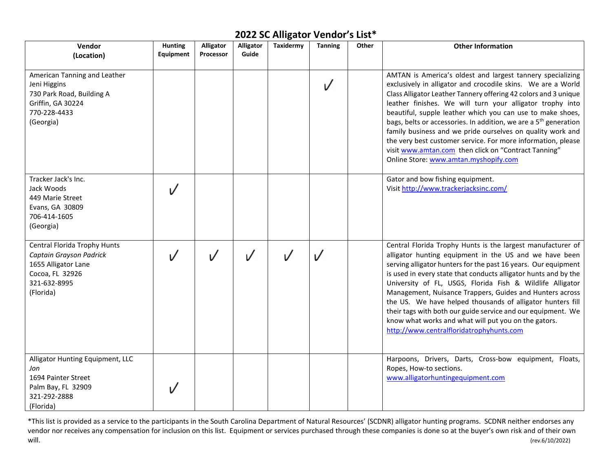| Vendor                                                                                                                         | <b>Hunting</b><br><b>Equipment</b> | Alligator<br>Processor | <b>Alligator</b><br>Guide | Taxidermy | <b>Tanning</b> | Other | <b>Other Information</b>                                                                                                                                                                                                                                                                                                                                                                                                                                                                                                                                                                                                                |
|--------------------------------------------------------------------------------------------------------------------------------|------------------------------------|------------------------|---------------------------|-----------|----------------|-------|-----------------------------------------------------------------------------------------------------------------------------------------------------------------------------------------------------------------------------------------------------------------------------------------------------------------------------------------------------------------------------------------------------------------------------------------------------------------------------------------------------------------------------------------------------------------------------------------------------------------------------------------|
| (Location)                                                                                                                     |                                    |                        |                           |           |                |       |                                                                                                                                                                                                                                                                                                                                                                                                                                                                                                                                                                                                                                         |
| American Tanning and Leather<br>Jeni Higgins<br>730 Park Road, Building A<br>Griffin, GA 30224<br>770-228-4433<br>(Georgia)    |                                    |                        |                           |           | ✓              |       | AMTAN is America's oldest and largest tannery specializing<br>exclusively in alligator and crocodile skins. We are a World<br>Class Alligator Leather Tannery offering 42 colors and 3 unique<br>leather finishes. We will turn your alligator trophy into<br>beautiful, supple leather which you can use to make shoes,<br>bags, belts or accessories. In addition, we are a 5 <sup>th</sup> generation<br>family business and we pride ourselves on quality work and<br>the very best customer service. For more information, please<br>visit www.amtan.com then click on "Contract Tanning"<br>Online Store: www.amtan.myshopify.com |
| Tracker Jack's Inc.<br>Jack Woods<br>449 Marie Street<br>Evans, GA 30809<br>706-414-1605<br>(Georgia)                          |                                    |                        |                           |           |                |       | Gator and bow fishing equipment.<br>Visit http://www.trackerjacksinc.com/                                                                                                                                                                                                                                                                                                                                                                                                                                                                                                                                                               |
| Central Florida Trophy Hunts<br>Captain Grayson Padrick<br>1655 Alligator Lane<br>Cocoa, FL 32926<br>321-632-8995<br>(Florida) |                                    |                        |                           |           | V              |       | Central Florida Trophy Hunts is the largest manufacturer of<br>alligator hunting equipment in the US and we have been<br>serving alligator hunters for the past 16 years. Our equipment<br>is used in every state that conducts alligator hunts and by the<br>University of FL, USGS, Florida Fish & Wildlife Alligator<br>Management, Nuisance Trappers, Guides and Hunters across<br>the US. We have helped thousands of alligator hunters fill<br>their tags with both our guide service and our equipment. We<br>know what works and what will put you on the gators.<br>http://www.centralfloridatrophyhunts.com                   |
| Alligator Hunting Equipment, LLC<br>Jon<br>1694 Painter Street<br>Palm Bay, FL 32909<br>321-292-2888<br>(Florida)              |                                    |                        |                           |           |                |       | Harpoons, Drivers, Darts, Cross-bow equipment, Floats,<br>Ropes, How-to sections.<br>www.alligatorhuntingequipment.com                                                                                                                                                                                                                                                                                                                                                                                                                                                                                                                  |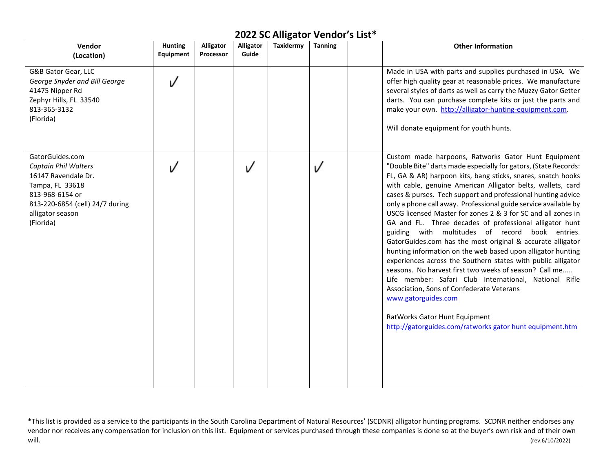| Vendor<br>(Location)                                                                                                                                                     | <b>Hunting</b><br>Equipment | Alligator<br>Processor | Alligator<br>Guide | Taxidermy | <b>Tanning</b> | <b>Other Information</b>                                                                                                                                                                                                                                                                                                                                                                                                                                                                                                                                                                                                                                                                                                                                                                                                                                                                                                                                                                                                                                 |
|--------------------------------------------------------------------------------------------------------------------------------------------------------------------------|-----------------------------|------------------------|--------------------|-----------|----------------|----------------------------------------------------------------------------------------------------------------------------------------------------------------------------------------------------------------------------------------------------------------------------------------------------------------------------------------------------------------------------------------------------------------------------------------------------------------------------------------------------------------------------------------------------------------------------------------------------------------------------------------------------------------------------------------------------------------------------------------------------------------------------------------------------------------------------------------------------------------------------------------------------------------------------------------------------------------------------------------------------------------------------------------------------------|
| G&B Gator Gear, LLC<br>George Snyder and Bill George<br>41475 Nipper Rd<br>Zephyr Hills, FL 33540<br>813-365-3132<br>(Florida)                                           | V                           |                        |                    |           |                | Made in USA with parts and supplies purchased in USA. We<br>offer high quality gear at reasonable prices. We manufacture<br>several styles of darts as well as carry the Muzzy Gator Getter<br>darts. You can purchase complete kits or just the parts and<br>make your own. http://alligator-hunting-equipment.com.<br>Will donate equipment for youth hunts.                                                                                                                                                                                                                                                                                                                                                                                                                                                                                                                                                                                                                                                                                           |
| GatorGuides.com<br>Captain Phil Walters<br>16147 Ravendale Dr.<br>Tampa, FL 33618<br>813-968-6154 or<br>813-220-6854 (cell) 24/7 during<br>alligator season<br>(Florida) |                             |                        | V                  |           |                | Custom made harpoons, Ratworks Gator Hunt Equipment<br>"Double Bite" darts made especially for gators, (State Records:<br>FL, GA & AR) harpoon kits, bang sticks, snares, snatch hooks<br>with cable, genuine American Alligator belts, wallets, card<br>cases & purses. Tech support and professional hunting advice<br>only a phone call away. Professional guide service available by<br>USCG licensed Master for zones 2 & 3 for SC and all zones in<br>GA and FL. Three decades of professional alligator hunt<br>guiding with multitudes of record book entries.<br>GatorGuides.com has the most original & accurate alligator<br>hunting information on the web based upon alligator hunting<br>experiences across the Southern states with public alligator<br>seasons. No harvest first two weeks of season? Call me<br>Life member: Safari Club International, National Rifle<br>Association, Sons of Confederate Veterans<br>www.gatorguides.com<br>RatWorks Gator Hunt Equipment<br>http://gatorguides.com/ratworks gator hunt equipment.htm |